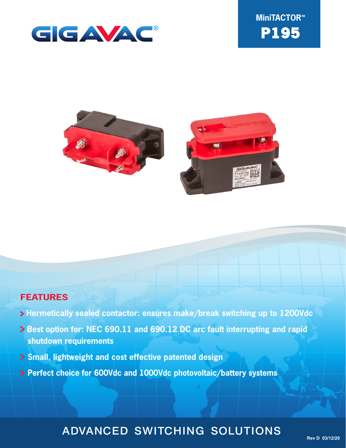





### **FEATURES**

- **Hermetically sealed contactor: ensures make/break switching up to 1200Vdc**
- **> Best option for: NEC 690.11 and 690.12 DC arc fault interrupting and rapid shutdown requirements**
- **Small, lightweight and cost effective patented design**
- **Perfect choice for 600Vdc and 1000Vdc photovoltaic/battery systems**

### ADVANCED SWITCHING SOLUTIONS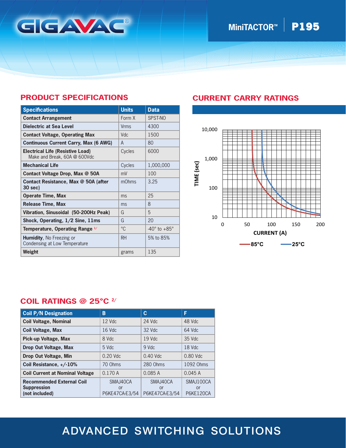

## **MiniTACTOR<sup>™</sup> P195**

### **PRODUCT SPECIFICATIONS**

| <b>Specifications</b>                                                   | <b>Units</b> | <b>Data</b>                    |
|-------------------------------------------------------------------------|--------------|--------------------------------|
| <b>Contact Arrangement</b>                                              | Form X       | SPST-NO                        |
| Dielectric at Sea Level                                                 | Vrms         | 4300                           |
| <b>Contact Voltage, Operating Max</b>                                   | Vdc          | 1500                           |
| <b>Continuous Current Carry, Max (6 AWG)</b>                            | A            | 80                             |
| <b>Electrical Life (Resistive Load)</b><br>Make and Break, 60A @ 600Vdc | Cycles       | 6000                           |
| <b>Mechanical Life</b>                                                  | Cycles       | 1,000,000                      |
| Contact Voltage Drop, Max @ 50A                                         | mV           | 100                            |
| Contact Resistance, Max @ 50A (after<br>30 sec)                         | mOhms        | 3.25                           |
| <b>Operate Time, Max</b>                                                | ms           | 25                             |
| <b>Release Time, Max</b>                                                | ms           | 8                              |
| Vibration, Sinusoidal (50-200Hz Peak)                                   | G            | 5                              |
| Shock, Operating, 1/2 Sine, 11ms                                        | G            | 20                             |
| Temperature, Operating Range 1/                                         | $^{\circ}C$  | $-40^{\circ}$ to $+85^{\circ}$ |
| <b>Humidity, No Freezing or</b><br>Condensing at Low Temperature        | <b>RH</b>    | 5% to 85%                      |
| Weight                                                                  | grams        | 135                            |

### **CURRENT CARRY RATINGS**



#### **COIL RATINGS @ 25°C 2/**

| <b>Coil P/N Designation</b>                                              | B                                | C                                | F                                          |
|--------------------------------------------------------------------------|----------------------------------|----------------------------------|--------------------------------------------|
| <b>Coil Voltage, Nominal</b>                                             | $12$ Vdc                         | 24 Vdc                           | 48 Vdc                                     |
| <b>Coil Voltage, Max</b>                                                 | $16$ Vdc                         | 32 Vdc                           | 64 Vdc                                     |
| Pick-up Voltage, Max                                                     | 8 Vdc                            | 19 Vdc                           | 35 Vdc                                     |
| Drop Out Voltage, Max                                                    | 5 Vdc                            | 9 Vdc                            | 18 Vdc                                     |
| Drop Out Voltage, Min                                                    | $0.20$ Vdc                       | $0.40$ Vdc                       | $0.80$ Vdc                                 |
| Coil Resistance, +/-10%                                                  | 70 Ohms                          | 280 Ohms                         | 1092 Ohms                                  |
| <b>Coil Current at Nominal Voltage</b>                                   | 0.170A                           | 0.085A                           | 0.045A                                     |
| <b>Recommended External Coil</b><br><b>Suppression</b><br>(not included) | SMAJ40CA<br>or<br>P6KE47CA-E3/54 | SMAJ40CA<br>or<br>P6KE47CA-E3/54 | SMAJ100CA<br><b>or</b><br><b>P6KE120CA</b> |

# ADVANCED SWITCHING SOLUTIONS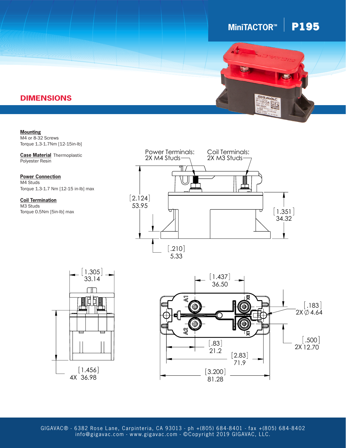## $MinITACTOR^M$  **P195**



### **DIMENSIONS**

**Mounting** M4 or 8-32 Screws Torque 1.3-1.7Nm [12-15in-lb]

**Case Material** Thermoplastic Polyester Resin

Torque 1.3-1.7 Nm [12-15 in-lb] max **Power Connection** M4 Studs

**Coil Termination** M3 Studs Torque 0.5Nm [5in-lb] max